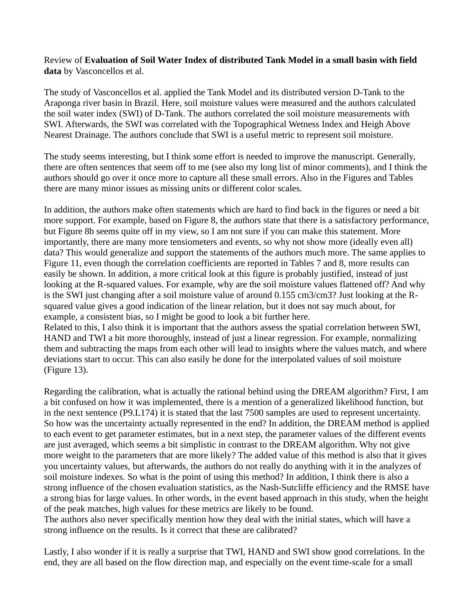Review of **Evaluation of Soil Water Index of distributed Tank Model in a small basin with field data** by Vasconcellos et al.

The study of Vasconcellos et al. applied the Tank Model and its distributed version D-Tank to the Araponga river basin in Brazil. Here, soil moisture values were measured and the authors calculated the soil water index (SWI) of D-Tank. The authors correlated the soil moisture measurements with SWI. Afterwards, the SWI was correlated with the Topographical Wetness Index and Heigh Above Nearest Drainage. The authors conclude that SWI is a useful metric to represent soil moisture.

The study seems interesting, but I think some effort is needed to improve the manuscript. Generally, there are often sentences that seem off to me (see also my long list of minor comments), and I think the authors should go over it once more to capture all these small errors. Also in the Figures and Tables there are many minor issues as missing units or different color scales.

In addition, the authors make often statements which are hard to find back in the figures or need a bit more support. For example, based on Figure 8, the authors state that there is a satisfactory performance, but Figure 8b seems quite off in my view, so I am not sure if you can make this statement. More importantly, there are many more tensiometers and events, so why not show more (ideally even all) data? This would generalize and support the statements of the authors much more. The same applies to Figure 11, even though the correlation coefficients are reported in Tables 7 and 8, more results can easily be shown. In addition, a more critical look at this figure is probably justified, instead of just looking at the R-squared values. For example, why are the soil moisture values flattened off? And why is the SWI just changing after a soil moisture value of around 0.155 cm3/cm3? Just looking at the Rsquared value gives a good indication of the linear relation, but it does not say much about, for example, a consistent bias, so I might be good to look a bit further here.

Related to this, I also think it is important that the authors assess the spatial correlation between SWI, HAND and TWI a bit more thoroughly, instead of just a linear regression. For example, normalizing them and subtracting the maps from each other will lead to insights where the values match, and where deviations start to occur. This can also easily be done for the interpolated values of soil moisture (Figure 13).

Regarding the calibration, what is actually the rational behind using the DREAM algorithm? First, I am a bit confused on how it was implemented, there is a mention of a generalized likelihood function, but in the next sentence (P9.L174) it is stated that the last 7500 samples are used to represent uncertainty. So how was the uncertainty actually represented in the end? In addition, the DREAM method is applied to each event to get parameter estimates, but in a next step, the parameter values of the different events are just averaged, which seems a bit simplistic in contrast to the DREAM algorithm. Why not give more weight to the parameters that are more likely? The added value of this method is also that it gives you uncertainty values, but afterwards, the authors do not really do anything with it in the analyzes of soil moisture indexes. So what is the point of using this method? In addition, I think there is also a strong influence of the chosen evaluation statistics, as the Nash-Sutcliffe efficiency and the RMSE have a strong bias for large values. In other words, in the event based approach in this study, when the height of the peak matches, high values for these metrics are likely to be found.

The authors also never specifically mention how they deal with the initial states, which will have a strong influence on the results. Is it correct that these are calibrated?

Lastly, I also wonder if it is really a surprise that TWI, HAND and SWI show good correlations. In the end, they are all based on the flow direction map, and especially on the event time-scale for a small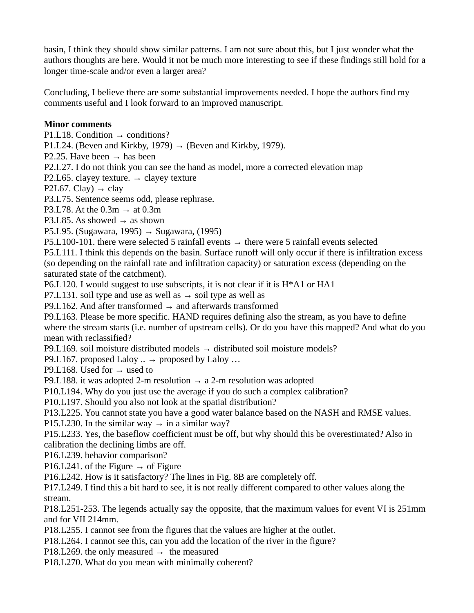basin, I think they should show similar patterns. I am not sure about this, but I just wonder what the authors thoughts are here. Would it not be much more interesting to see if these findings still hold for a longer time-scale and/or even a larger area?

Concluding, I believe there are some substantial improvements needed. I hope the authors find my comments useful and I look forward to an improved manuscript.

## **Minor comments**

P1.L18. Condition  $\rightarrow$  conditions?

P1.L24. (Beven and Kirkby, 1979)  $\rightarrow$  (Beven and Kirkby, 1979).

P2.25. Have been  $\rightarrow$  has been

P2.L27. I do not think you can see the hand as model, more a corrected elevation map

P2.L65. clayey texture.  $\rightarrow$  clayey texture

P2L67. Clay)  $\rightarrow$  clay

P3.L75. Sentence seems odd, please rephrase.

P3.L78. At the  $0.3m \rightarrow at 0.3m$ 

P3.L85. As showed  $\rightarrow$  as shown

P5.L95. (Sugawara, 1995)  $\rightarrow$  Sugawara, (1995)

P5.L100-101. there were selected 5 rainfall events  $\rightarrow$  there were 5 rainfall events selected P5.L111. I think this depends on the basin. Surface runoff will only occur if there is infiltration excess (so depending on the rainfall rate and infiltration capacity) or saturation excess (depending on the saturated state of the catchment).

P6.L120. I would suggest to use subscripts, it is not clear if it is H\*A1 or HA1

P7.L131. soil type and use as well as  $\rightarrow$  soil type as well as

P9.L162. And after transformed  $\rightarrow$  and afterwards transformed

P9.L163. Please be more specific. HAND requires defining also the stream, as you have to define where the stream starts (i.e. number of upstream cells). Or do you have this mapped? And what do you mean with reclassified?

P9.L169. soil moisture distributed models  $→$  distributed soil moisture models?

P9.L167. proposed Laloy ..  $\rightarrow$  proposed by Laloy ...

P9.L168. Used for  $\rightarrow$  used to

P9.L188. it was adopted 2-m resolution  $\rightarrow$  a 2-m resolution was adopted

P10.L194. Why do you just use the average if you do such a complex calibration?

P10.L197. Should you also not look at the spatial distribution?

P13.L225. You cannot state you have a good water balance based on the NASH and RMSE values.

P15.L230. In the similar way  $\rightarrow$  in a similar way?

P15.L233. Yes, the baseflow coefficient must be off, but why should this be overestimated? Also in calibration the declining limbs are off.

P16.L239. behavior comparison?

P16.L241. of the Figure  $\rightarrow$  of Figure

P16.L242. How is it satisfactory? The lines in Fig. 8B are completely off.

P17.L249. I find this a bit hard to see, it is not really different compared to other values along the stream.

P18.L251-253. The legends actually say the opposite, that the maximum values for event VI is 251mm and for VII 214mm.

P18.L255. I cannot see from the figures that the values are higher at the outlet.

P18.L264. I cannot see this, can you add the location of the river in the figure?

P18.L269. the only measured  $\rightarrow$  the measured

P18.L270. What do you mean with minimally coherent?